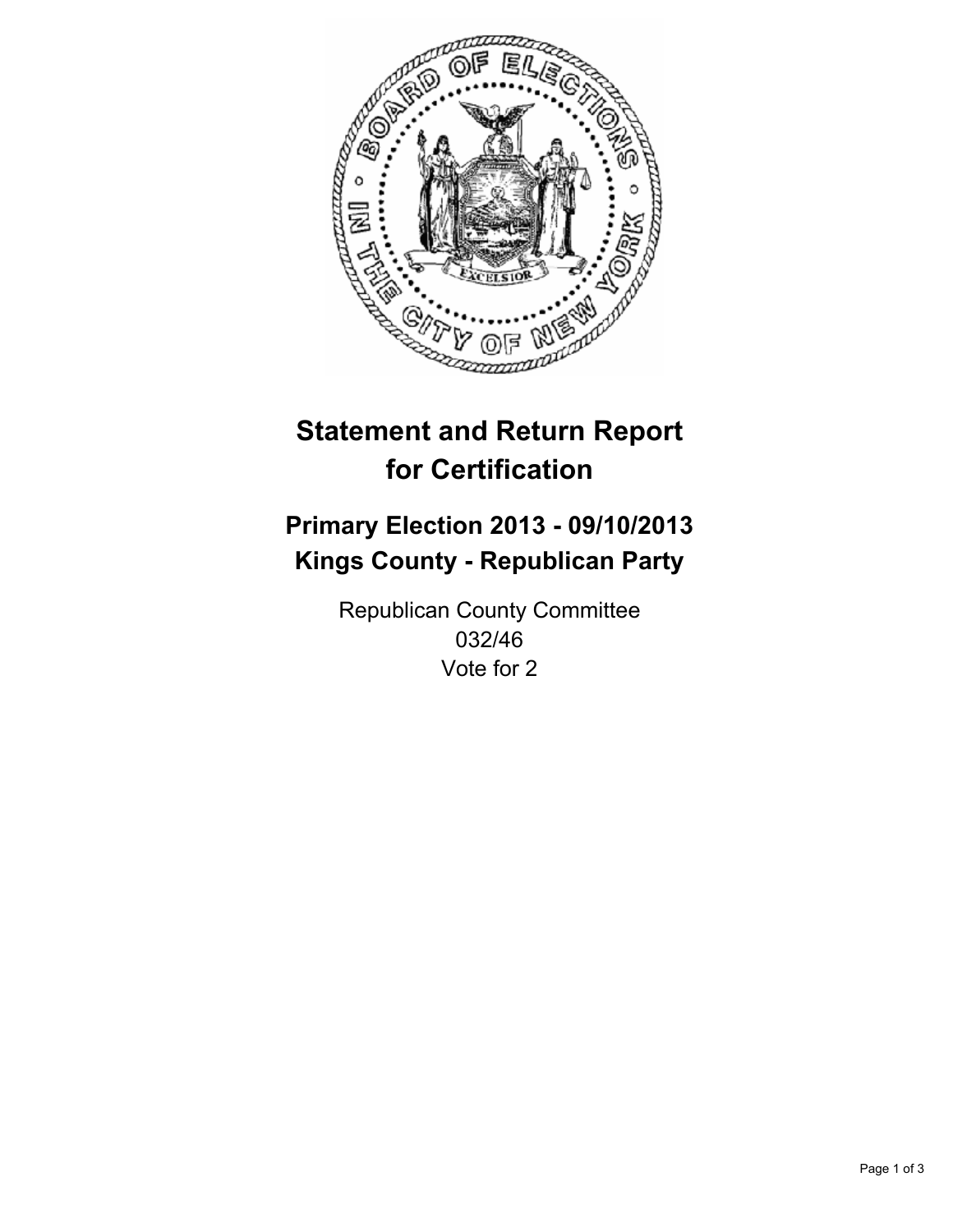

# **Statement and Return Report for Certification**

# **Primary Election 2013 - 09/10/2013 Kings County - Republican Party**

Republican County Committee 032/46 Vote for 2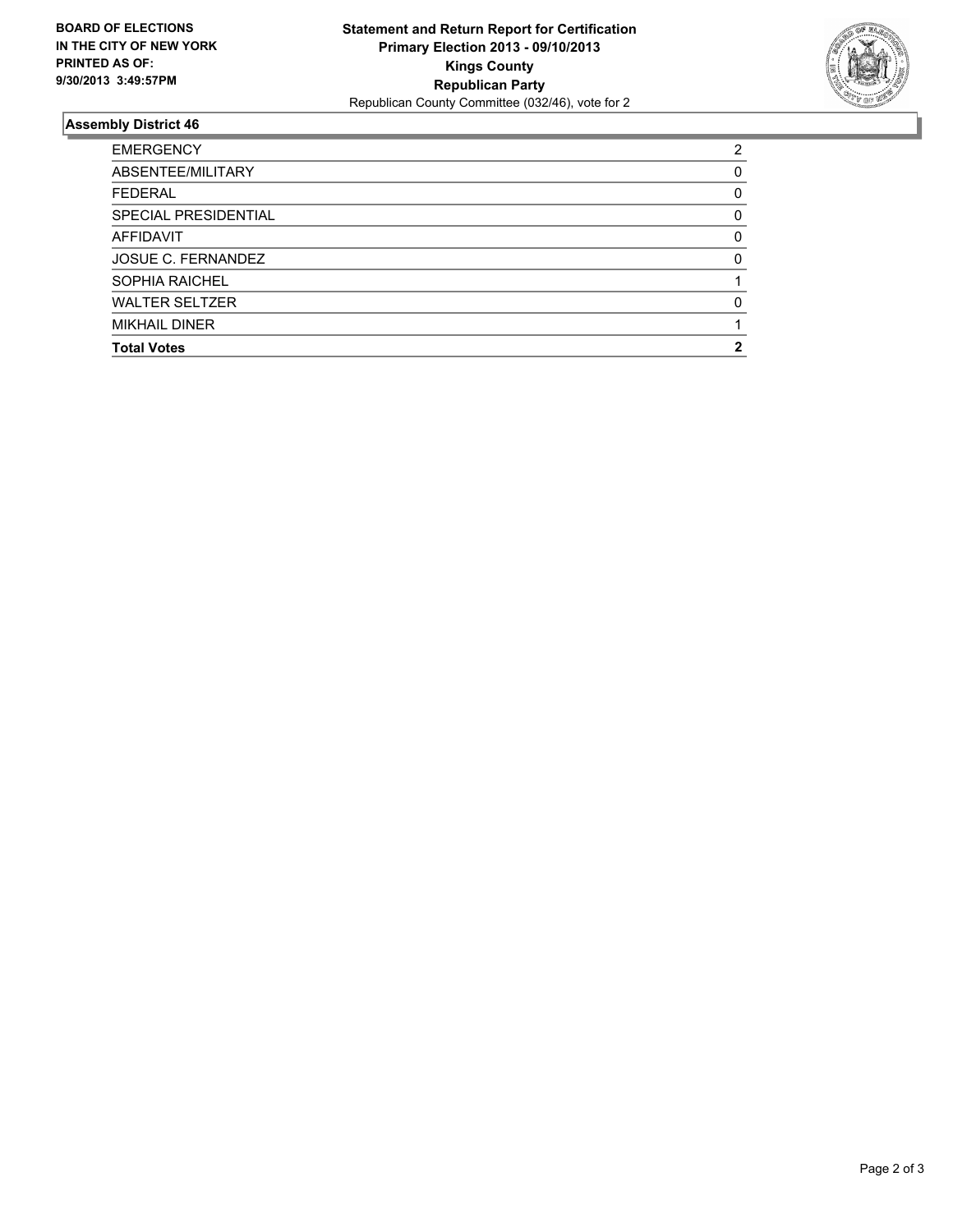

## **Assembly District 46**

| <b>Total Votes</b>        | 2            |
|---------------------------|--------------|
| <b>MIKHAIL DINER</b>      |              |
| <b>WALTER SELTZER</b>     | O            |
| <b>SOPHIA RAICHEL</b>     |              |
| <b>JOSUE C. FERNANDEZ</b> | <sup>0</sup> |
| AFFIDAVIT                 | 0            |
| SPECIAL PRESIDENTIAL      | 0            |
| <b>FEDERAL</b>            | 0            |
| ABSENTEE/MILITARY         | 0            |
| <b>EMERGENCY</b>          | 2            |